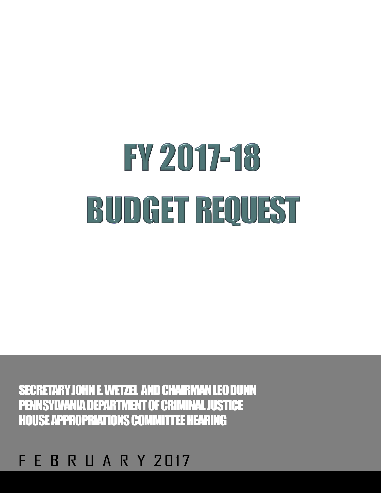#### E. **B R U A R Y 2017**

SECRETARY JOHN E. WETZEL AND CHAIRMAN LEO DUNN PENNSYLVANIA DEPARTMENT OF CRIMINAL JUSTICE HOUSE APPROPRIATIONS COMMITTEE HEARING

# FY 2017-18 BUDGET REQUEST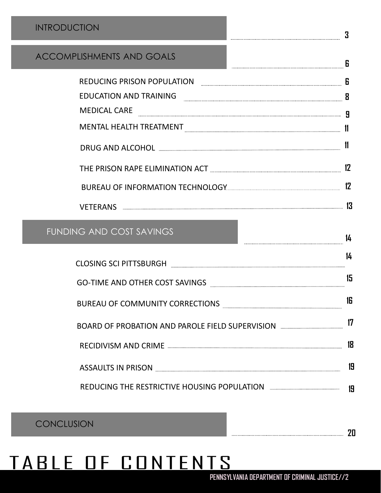#### INTRODUCTION

#### ACCOMPLISHMENTS AND GOALS

| <b>REDUCING PRISON POPULATION</b> | n  |
|-----------------------------------|----|
| <b>EDUCATION AND TRAINING</b>     | 8  |
| <b>MEDICAL CARE</b>               |    |
| <b>MENTAL HEALTH TREATMENT</b>    |    |
| DRUG AND ALCOHOL                  |    |
| THE PRISON RAPE ELIMINATION ACT   | 12 |
|                                   |    |
|                                   |    |

**3**

**14**

**6**

#### FUNDING AND COST SAVINGS

|                                                 | 14 |
|-------------------------------------------------|----|
| <b>CLOSING SCI PITTSBURGH</b>                   |    |
| <b>GO-TIME AND OTHER COST SAVINGS</b>           | 15 |
| <b>BUREAU OF COMMUNITY CORRECTIONS</b>          | 16 |
| BOARD OF PROBATION AND PAROLE FIELD SUPERVISION |    |
|                                                 | 18 |
| <b>ASSAULTS IN PRISON</b>                       | 19 |
| REDUCING THE RESTRICTIVE HOUSING POPULATION     |    |

**CONCLUSION** 

## TABLE OF CONTENTS

**20**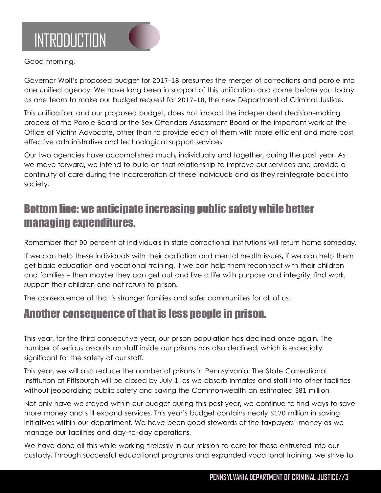

Good morning,

Governor Wolf's proposed budget for 2017-18 presumes the merger of corrections and parole into one unified agency. We have long been in support of this unification and come before you today as one team to make our budget request for 2017-18, the new Department of Criminal Justice.

This unification, and our proposed budget, does not impact the independent decision-making process of the Parole Board or the Sex Offenders Assessment Board or the important work of the Office of Victim Advocate, other than to provide each of them with more efficient and more cost effective administrative and technological support services.

Our two agencies have accomplished much, individually and together, during the past year. As we move forward, we intend to build on that relationship to improve our services and provide a continuity of care during the incarceration of these individuals and as they reintegrate back into society.

### Bottom line: we anticipate increasing public safety while better managing expenditures.

Remember that 90 percent of individuals in state correctional institutions will return home someday.

If we can help these individuals with their addiction and mental health issues, if we can help them get basic education and vocational training, if we can help them reconnect with their children and families - then maybe they can get out and live a life with purpose and integrity, find work, support their children and not return to prison.

The consequence of that is stronger families and safer communities for all of us.

#### Another consequence of that is less people in prison.

This year, for the third consecutive year, our prison population has declined once again. The number of serious assaults on staff inside our prisons has also declined, which is especially significant for the safety of our staff.

This year, we will also reduce the number of prisons in Pennsylvania. The State Correctional Institution at Pittsburgh will be closed by July 1, as we absorb inmates and staff into other facilities without jeopardizing public safety and saving the Commonwealth an estimated \$81 million.

Not only have we stayed within our budget during this past year, we continue to find ways to save more money and still expand services. This year's budget contains nearly \$170 million in saving initiatives within our department. We have been good stewards of the taxpayers' money as we manage our facilities and day-to-day operations.

We have done all this while working tirelessly in our mission to care for those entrusted into our custody. Through successful educational programs and expanded vocational training, we strive to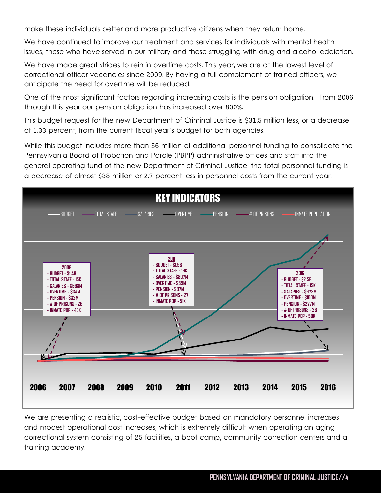make these individuals better and more productive citizens when they return home.

We have continued to improve our treatment and services for individuals with mental health issues, those who have served in our military and those struggling with drug and alcohol addiction.

We have made great strides to rein in overtime costs. This year, we are at the lowest level of correctional officer vacancies since 2009. By having a full complement of trained officers, we anticipate the need for overtime will be reduced.

One of the most significant factors regarding increasing costs is the pension obligation. From 2006 through this year our pension obligation has increased over 800%.

This budget request for the new Department of Criminal Justice is \$31.5 million less, or a decrease of 1.33 percent, from the current fiscal year's budget for both agencies.

While this budget includes more than \$6 million of additional personnel funding to consolidate the Pennsylvania Board of Probation and Parole (PBPP) administrative offices and staff into the general operating fund of the new Department of Criminal Justice, the total personnel funding is a decrease of almost \$38 million or 2.7 percent less in personnel costs from the current year.



We are presenting a realistic, cost-effective budget based on mandatory personnel increases and modest operational cost increases, which is extremely difficult when operating an aging correctional system consisting of 25 facilities, a boot camp, community correction centers and a training academy.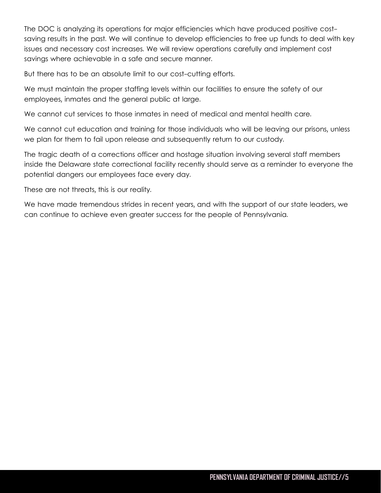The DOC is analyzing its operations for major efficiencies which have produced positive costsaving results in the past. We will continue to develop efficiencies to free up funds to deal with key issues and necessary cost increases. We will review operations carefully and implement cost savings where achievable in a safe and secure manner.

But there has to be an absolute limit to our cost-cutting efforts.

We must maintain the proper staffing levels within our facilities to ensure the safety of our employees, inmates and the general public at large.

We cannot cut services to those inmates in need of medical and mental health care.

We cannot cut education and training for those individuals who will be leaving our prisons, unless we plan for them to fail upon release and subsequently return to our custody.

The tragic death of a corrections officer and hostage situation involving several staff members inside the Delaware state correctional facility recently should serve as a reminder to everyone the potential dangers our employees face every day.

These are not threats, this is our reality.

We have made tremendous strides in recent years, and with the support of our state leaders, we can continue to achieve even greater success for the people of Pennsylvania.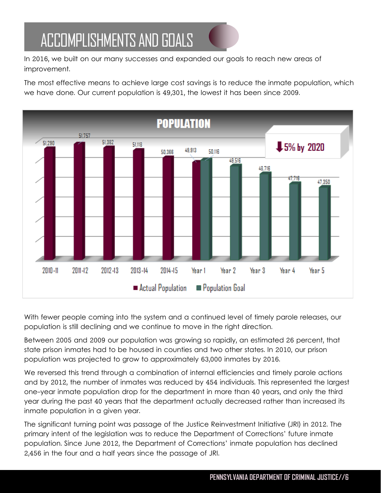## ACCOMPLISHMENTS AND GOALS

In 2016, we built on our many successes and expanded our goals to reach new areas of improvement.

The most effective means to achieve large cost savings is to reduce the inmate population, which we have done. Our current population is 49,301, the lowest it has been since 2009.



With fewer people coming into the system and a continued level of timely parole releases, our population is still declining and we continue to move in the right direction.

Between 2005 and 2009 our population was growing so rapidly, an estimated 26 percent, that state prison inmates had to be housed in counties and two other states. In 2010, our prison population was projected to grow to approximately 63,000 inmates by 2016.

We reversed this trend through a combination of internal efficiencies and timely parole actions and by 2012, the number of inmates was reduced by 454 individuals. This represented the largest one-year inmate population drop for the department in more than 40 years, and only the third year during the past 40 years that the department actually decreased rather than increased its inmate population in a given year.

The significant turning point was passage of the Justice Reinvestment Initiative (JRI) in 2012. The primary intent of the legislation was to reduce the Department of Corrections' future inmate population. Since June 2012, the Department of Corrections' inmate population has declined 2,456 in the four and a half years since the passage of JRI.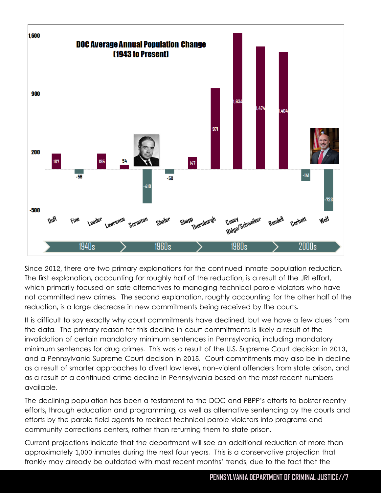

Since 2012, there are two primary explanations for the continued inmate population reduction. The first explanation, accounting for roughly half of the reduction, is a result of the JRI effort, which primarily focused on safe alternatives to managing technical parole violators who have not committed new crimes. The second explanation, roughly accounting for the other half of the reduction, is a large decrease in new commitments being received by the courts.

It is difficult to say exactly why court commitments have declined, but we have a few clues from the data. The primary reason for this decline in court commitments is likely a result of the invalidation of certain mandatory minimum sentences in Pennsylvania, including mandatory minimum sentences for drug crimes. This was a result of the U.S. Supreme Court decision in 2013, and a Pennsylvania Supreme Court decision in 2015. Court commitments may also be in decline as a result of smarter approaches to divert low level, non-violent offenders from state prison, and as a result of a continued crime decline in Pennsylvania based on the most recent numbers available.

The declining population has been a testament to the DOC and PBPP's efforts to bolster reentry efforts, through education and programming, as well as alternative sentencing by the courts and efforts by the parole field agents to redirect technical parole violators into programs and community corrections centers, rather than returning them to state prison.

Current projections indicate that the department will see an additional reduction of more than approximately 1,000 inmates during the next four years. This is a conservative projection that frankly may already be outdated with most recent months' trends, due to the fact that the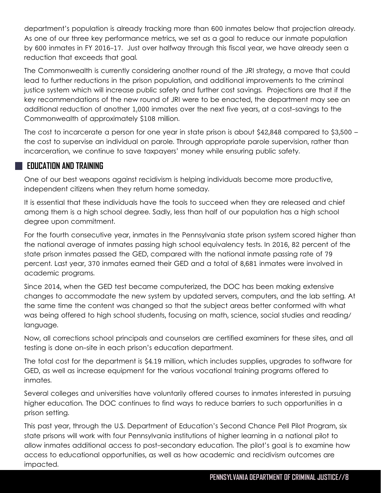department's population is already tracking more than 600 inmates below that projection already. As one of our three key performance metrics, we set as a goal to reduce our inmate population by 600 inmates in FY 2016-17. Just over halfway through this fiscal year, we have already seen a reduction that exceeds that goal.

The Commonwealth is currently considering another round of the JRI strategy, a move that could lead to further reductions in the prison population, and additional improvements to the criminal justice system which will increase public safety and further cost savings. Projections are that if the key recommendations of the new round of JRI were to be enacted, the department may see an additional reduction of another 1,000 inmates over the next five years, at a cost-savings to the Commonwealth of approximately \$108 million.

Ine cost to incarcerate a person for one year in state prison is about \$42,848 compared to \$3,500<br>the cost to supervise an individual on parole. Through appropriate parole supervision, rather than The cost to incarcerate a person for one year in state prison is about \$42,848 compared to \$3,500 – incarceration, we continue to save taxpayers' money while ensuring public safety.

#### **EDUCATION AND TRAINING**

One of our best weapons against recidivism is helping individuals become more productive, independent citizens when they return home someday.

It is essential that these individuals have the tools to succeed when they are released and chief among them is a high school degree. Sadly, less than half of our population has a high school degree upon commitment.

For the fourth consecutive year, inmates in the Pennsylvania state prison system scored higher than the national average of inmates passing high school equivalency tests. In 2016, 82 percent of the state prison inmates passed the GED, compared with the national inmate passing rate of 79 percent. Last year, 370 inmates earned their GED and a total of 8,681 inmates were involved in academic programs.

Since 2014, when the GED test became computerized, the DOC has been making extensive changes to accommodate the new system by updated servers, computers, and the lab setting. At the same time the content was changed so that the subject areas better conformed with what was being offered to high school students, focusing on math, science, social studies and reading/ language.

Now, all corrections school principals and counselors are certified examiners for these sites, and all testing is done on-site in each prison's education department.

The total cost for the department is \$4.19 million, which includes supplies, upgrades to software for GED, as well as increase equipment for the various vocational training programs offered to inmates.

Several colleges and universities have voluntarily offered courses to inmates interested in pursuing higher education. The DOC continues to find ways to reduce barriers to such opportunities in a prison setting.

This past year, through the U.S. Department of Education's Second Chance Pell Pilot Program, six state prisons will work with four Pennsylvania institutions of higher learning in a national pilot to allow inmates additional access to post-secondary education. The pilot's goal is to examine how access to educational opportunities, as well as how academic and recidivism outcomes are impacted.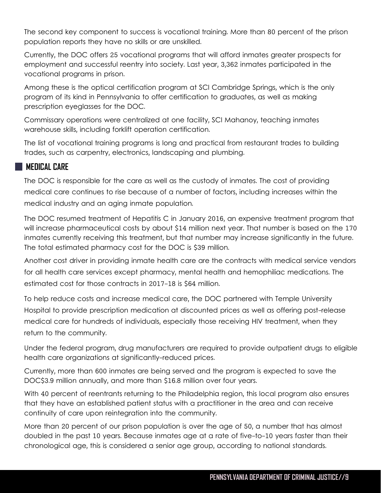The second key component to success is vocational training. More than 80 percent of the prison population reports they have no skills or are unskilled.

Currently, the DOC offers 25 vocational programs that will afford inmates greater prospects for employment and successful reentry into society. Last year, 3,362 inmates participated in the vocational programs in prison.

Among these is the optical certification program at SCI Cambridge Springs, which is the only program of its kind in Pennsylvania to offer certification to graduates, as well as making prescription eyeglasses for the DOC.

Commissary operations were centralized at one facility, SCI Mahanoy, teaching inmates warehouse skills, including forklift operation certification.

warehoese share, and camp renain operation commodition. trades, such as carpentry, electronics, landscaping and plumbing.

#### **MEDICAL CARE**

The DOC is responsible for the care as well as the custody of inmates. The cost of providing medical care continues to rise because of a number of factors, including increases within the medical industry and an aging inmate population.

The DOC resumed treatment of Hepatitis C in January 2016, an expensive treatment program that will increase pharmaceutical costs by about \$14 million next year. That number is based on the 170 inmates currently receiving this treatment, but that number may increase significantly in the future. The total estimated pharmacy cost for the DOC is \$39 million.

Another cost driver in providing inmate health care are the contracts with medical service vendors for all health care services except pharmacy, mental health and hemophiliac medications. The estimated cost for those contracts in 2017-18 is \$64 million.

To help reduce costs and increase medical care, the DOC partnered with Temple University Hospital to provide prescription medication at discounted prices as well as offering post-release medical care for hundreds of individuals, especially those receiving HIV treatment, when they return to the community.

Under the federal program, drug manufacturers are required to provide outpatient drugs to eligible health care organizations at significantly-reduced prices.

Currently, more than 600 inmates are being served and the program is expected to save the DOC\$3.9 million annually, and more than \$16.8 million over four years.

With 40 percent of reentrants returning to the Philadelphia region, this local program also ensures that they have an established patient status with a practitioner in the area and can receive continuity of care upon reintegration into the community.

More than 20 percent of our prison population is over the age of 50, a number that has almost doubled in the past 10 years. Because inmates age at a rate of five-to-10 years faster than their chronological age, this is considered a senior age group, according to national standards.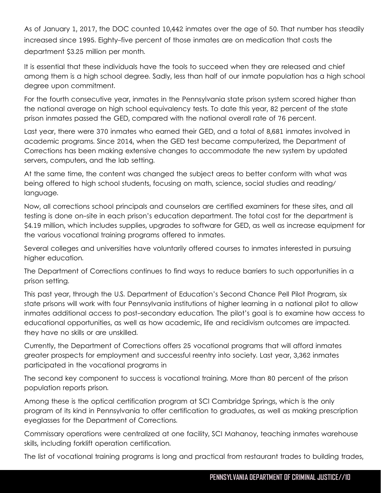As of January 1, 2017, the DOC counted 10,442 inmates over the age of 50. That number has steadily increased since 1995. Eighty-five percent of those inmates are on medication that costs the department \$3.25 million per month.

It is essential that these individuals have the tools to succeed when they are released and chief among them is a high school degree. Sadly, less than half of our inmate population has a high school degree upon commitment.

For the fourth consecutive year, inmates in the Pennsylvania state prison system scored higher than the national average on high school equivalency tests. To date this year, 82 percent of the state prison inmates passed the GED, compared with the national overall rate of 76 percent.

Last year, there were 370 infinities who earlied their GED, and a fold of 6,661 infinities involved in academic programs. Since 2014, when the GED test became computerized, the Department of Last year, there were 370 inmates who earned their GED, and a total of 8,681 inmates involved in Corrections has been making extensive changes to accommodate the new system by updated servers, computers, and the lab setting.

At the same time, the content was changed the subject areas to better conform with what was being offered to high school students, focusing on math, science, social studies and reading/ language.

Now, all corrections school principals and counselors are certified examiners for these sites, and all testing is done on-site in each prison's education department. The total cost for the department is \$4.19 million, which includes supplies, upgrades to software for GED, as well as increase equipment for the various vocational training programs offered to inmates.

Several colleges and universities have voluntarily offered courses to inmates interested in pursuing higher education.

The Department of Corrections continues to find ways to reduce barriers to such opportunities in a prison setting.

This past year, through the U.S. Department of Education's Second Chance Pell Pilot Program, six state prisons will work with four Pennsylvania institutions of higher learning in a national pilot to allow inmates additional access to post-secondary education. The pilot's goal is to examine how access to educational opportunities, as well as how academic, life and recidivism outcomes are impacted. they have no skills or are unskilled.

Currently, the Department of Corrections offers 25 vocational programs that will afford inmates greater prospects for employment and successful reentry into society. Last year, 3,362 inmates participated in the vocational programs in

The second key component to success is vocational training. More than 80 percent of the prison population reports prison.

Among these is the optical certification program at SCI Cambridge Springs, which is the only program of its kind in Pennsylvania to offer certification to graduates, as well as making prescription eyeglasses for the Department of Corrections.

Commissary operations were centralized at one facility, SCI Mahanoy, teaching inmates warehouse skills, including forklift operation certification.

The list of vocational training programs is long and practical from restaurant trades to building trades,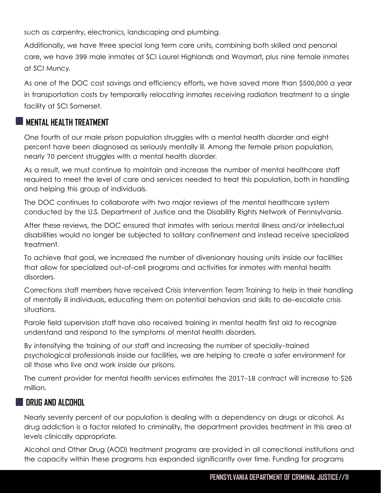such as carpentry, electronics, landscaping and plumbing.

Additionally, we have three special long term care units, combining both skilled and personal care, we have 399 male inmates at SCI Laurel Highlands and Waymart, plus nine female inmates at SCI Muncy.

As one of the DOC cost savings and efficiency efforts, we have saved more than \$500,000 a year in transportation costs by temporarily relocating inmates receiving radiation treatment to a single facility at SCI Somerset.

#### **MENTAL HEALTH TREATMENT**

One fourth of our male prison population struggles with a mental health disorder and eight percent have been diagnosed as seriously mentally ill. Among the female prison population, nearly 70 percent struggles with a mental health disorder.

As a result, we must continue to maintain and increase the number of mental healthcare staff required to meet the level of care and services needed to treat this population, both in handling and helping this group of individuals.

The DOC continues to collaborate with two major reviews of the mental healthcare system conducted by the U.S. Department of Justice and the Disability Rights Network of Pennsylvania.

After these reviews, the DOC ensured that inmates with serious mental illness and/or intellectual disabilities would no longer be subjected to solitary confinement and instead receive specialized treatment.

To achieve that goal, we increased the number of diversionary housing units inside our facilities that allow for specialized out-of-cell programs and activities for inmates with mental health disorders.

Corrections staff members have received Crisis Intervention Team Training to help in their handling of mentally ill individuals, educating them on potential behaviors and skills to de-escalate crisis situations.

Parole field supervision staff have also received training in mental health first aid to recognize understand and respond to the symptoms of mental health disorders.

By intensifying the training of our staff and increasing the number of specially-trained psychological professionals inside our facilities, we are helping to create a safer environment for all those who live and work inside our prisons.

The current provider for mental health services estimates the 2017-18 contract will increase to \$26 million.

#### **DRUG AND ALCOHOL**

Nearly seventy percent of our population is dealing with a dependency on drugs or alcohol. As drug addiction is a factor related to criminality, the department provides treatment in this area at levels clinically appropriate.

Alcohol and Other Drug (AOD) treatment programs are provided in all correctional institutions and the capacity within these programs has expanded significantly over time. Funding for programs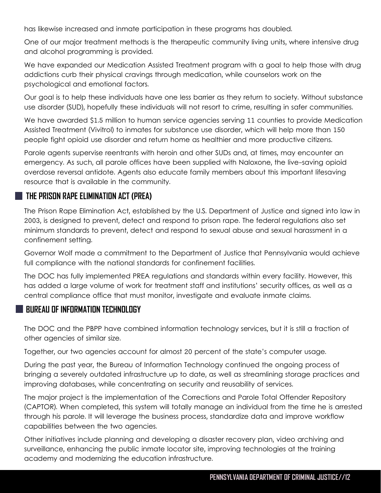has likewise increased and inmate participation in these programs has doubled.

One of our major treatment methods is the therapeutic community living units, where intensive drug and alcohol programming is provided.

We have expanded our Medication Assisted Treatment program with a goal to help those with drug addictions curb their physical cravings through medication, while counselors work on the psychological and emotional factors.

Our goal is to help these individuals have one less barrier as they return to society. Without substance use disorder (SUD), hopefully these individuals will not resort to crime, resulting in safer communities.

We have awarded \$1.5 million to human service agencies serving 11 counties to provide Medication Assisted Treatment (Vivitrol) to inmates for substance use disorder, which will help more than 150 people fight opioid use disorder and return home as healthier and more productive citizens.

Parole agents supervise reentrants with heroin and other SUDs and, at times, may encounter an emergency. As such, all parole offices have been supplied with Naloxone, the live-saving opioid overdose reversal antidote. Agents also educate family members about this important lifesaving resource that is available in the community.

#### **THE PRISON RAPE ELIMINATION ACT (PREA)**

The Prison Rape Elimination Act, established by the U.S. Department of Justice and signed into law in 2003, is designed to prevent, detect and respond to prison rape. The federal regulations also set minimum standards to prevent, detect and respond to sexual abuse and sexual harassment in a confinement setting.

Governor Wolf made a commitment to the Department of Justice that Pennsylvania would achieve full compliance with the national standards for confinement facilities.

The DOC has fully implemented PREA regulations and standards within every facility. However, this has added a large volume of work for treatment staff and institutions' security offices, as well as a central compliance office that must monitor, investigate and evaluate inmate claims.

#### **BUREAU OF INFORMATION TECHNOLOGY**

The DOC and the PBPP have combined information technology services, but it is still a fraction of other agencies of similar size.

Together, our two agencies account for almost 20 percent of the state's computer usage.

During the past year, the Bureau of Information Technology continued the ongoing process of bringing a severely outdated infrastructure up to date, as well as streamlining storage practices and improving databases, while concentrating on security and reusability of services.

The major project is the implementation of the Corrections and Parole Total Offender Repository (CAPTOR). When completed, this system will totally manage an individual from the time he is arrested through his parole. It will leverage the business process, standardize data and improve workflow capabilities between the two agencies.

Other initiatives include planning and developing a disaster recovery plan, video archiving and surveillance, enhancing the public inmate locator site, improving technologies at the training academy and modernizing the education infrastructure.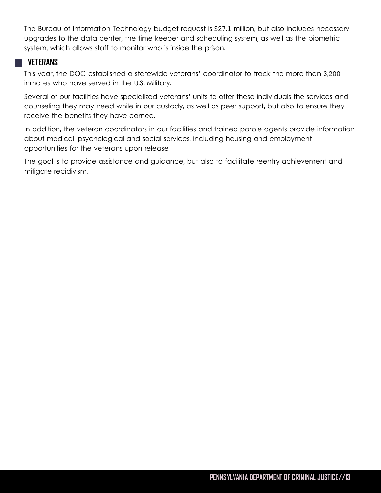The Bureau of Information Technology budget request is \$27.1 million, but also includes necessary upgrades to the data center, the time keeper and scheduling system, as well as the biometric system, which allows staff to monitor who is inside the prison.

#### **VETERANS**

This year, the DOC established a statewide veterans' coordinator to track the more than 3,200 inmates who have served in the U.S. Military.

Several of our facilities have specialized veterans' units to offer these individuals the services and counseling they may need while in our custody, as well as peer support, but also to ensure they receive the benefits they have earned.

about medical, psychological and social server and social server and social server and social server and social server and social server and social server and social server and social server and social server and social se In addition, the veteran coordinators in our facilities and trained parole agents provide information about medical, psychological and social services, including housing and employment opportunities for the veterans upon release.

The goal is to provide assistance and guidance, but also to facilitate reentry achievement and mitigate recidivism.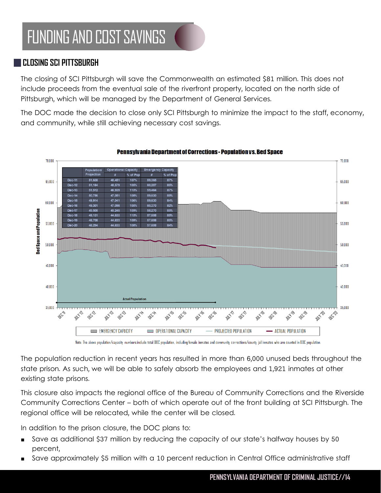## FUNDING AND COST SAVINGS

#### **CLOSING SCI PITTSBURGH**

The closing of SCI Pittsburgh will save the Commonwealth an estimated \$81 million. This does not include proceeds from the eventual sale of the riverfront property, located on the north side of Pittsburgh, which will be managed by the Department of General Services.

The DOC made the decision to close only SCI Pittsburgh to minimize the impact to the staff, economy, and community, while still achieving necessary cost savings.



Note: The above population/capacity numbers include total DDC population, including female inmates and community corrections/county jail inmates who are counted in DDC population.

The population reduction in recent years has resulted in more than 6,000 unused beds throughout the state prison. As such, we will be able to safely absorb the employees and 1,921 inmates at other existing state prisons.

This closure also impacts the regional office of the Bureau of Community Corrections and the Riverside Community Corrections Center – both of which operate out of the front building at SCI Pittsburgh. The regional office will be relocated, while the center will be closed.

In addition to the prison closure, the DOC plans to:

- Save as additional \$37 million by reducing the capacity of our state's halfway houses by 50 percent,
- Save approximately \$5 million with a 10 percent reduction in Central Office administrative staff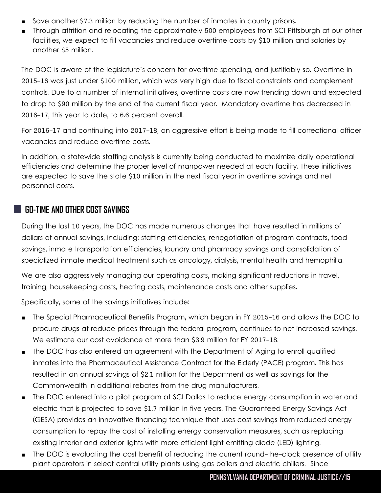- Save another \$7.3 million by reducing the number of inmates in county prisons.
- Through attrition and relocating the approximately 500 employees from SCI Pittsburgh at our other facilities, we expect to fill vacancies and reduce overtime costs by \$10 million and salaries by another \$5 million.

The DOC is aware of the legislature's concern for overtime spending, and justifiably so. Overtime in 2015-16 was just under \$100 million, which was very high due to fiscal constraints and complement controls. Due to a number of internal initiatives, overtime costs are now trending down and expected to drop to \$90 million by the end of the current fiscal year. Mandatory overtime has decreased in 2016-17, this year to date, to 6.6 percent overall.

vacancies and reduce overtime costs. For 2016-17 and continuing into 2017-18, an aggressive effort is being made to fill correctional officer

In addition, a statewide staffing analysis is currently being conducted to maximize daily operational efficiencies and determine the proper level of manpower needed at each facility. These initiatives are expected to save the state \$10 million in the next fiscal year in overtime savings and net personnel costs.

#### **GO-TIME AND OTHER COST SAVINGS**

During the last 10 years, the DOC has made numerous changes that have resulted in millions of dollars of annual savings, including: staffing efficiencies, renegotiation of program contracts, food savings, inmate transportation efficiencies, laundry and pharmacy savings and consolidation of specialized inmate medical treatment such as oncology, dialysis, mental health and hemophilia.

We are also aggressively managing our operating costs, making significant reductions in travel, training, housekeeping costs, heating costs, maintenance costs and other supplies.

Specifically, some of the savings initiatives include:

- The Special Pharmaceutical Benefits Program, which began in FY 2015-16 and allows the DOC to procure drugs at reduce prices through the federal program, continues to net increased savings. We estimate our cost avoidance at more than \$3.9 million for FY 2017-18.
- The DOC has also entered an agreement with the Department of Aging to enroll qualified inmates into the Pharmaceutical Assistance Contract for the Elderly (PACE) program. This has resulted in an annual savings of \$2.1 million for the Department as well as savings for the Commonwealth in additional rebates from the drug manufacturers.
- The DOC entered into a pilot program at SCI Dallas to reduce energy consumption in water and electric that is projected to save \$1.7 million in five years. The Guaranteed Energy Savings Act (GESA) provides an innovative financing technique that uses cost savings from reduced energy consumption to repay the cost of installing energy conservation measures, such as replacing existing interior and exterior lights with more efficient light emitting diode (LED) lighting.
- The DOC is evaluating the cost benefit of reducing the current round-the-clock presence of utility plant operators in select central utility plants using gas boilers and electric chillers. Since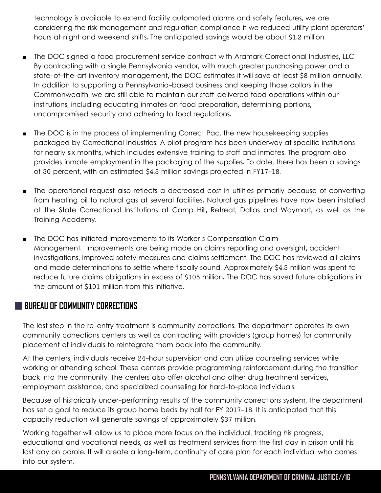technology is available to extend facility automated alarms and safety features, we are considering the risk management and regulation compliance if we reduced utility plant operators' hours at night and weekend shifts. The anticipated savings would be about \$1.2 million.

- The DOC signed a food procurement service contract with Aramark Correctional Industries, LLC. By contracting with a single Pennsylvania vendor, with much greater purchasing power and a state-of-the-art inventory management, the DOC estimates it will save at least \$8 million annually. In addition to supporting a Pennsylvania-based business and keeping those dollars in the Commonwealth, we are still able to maintain our staff-delivered food operations within our institutions, including educating inmates on food preparation, determining portions, uncompromised security and adhering to food regulations.
- $\blacksquare$  The DOC is in the process of implementing Correct Pac, the new housekeeping supplies<br>packaged by Correctional Industries. A pilot program has been underway at specific institutions ■ The DOC is in the process of implementing Correct Pac, the new housekeeping supplies for nearly six months, which includes extensive training to staff and inmates. The program also provides inmate employment in the packaging of the supplies. To date, there has been a savings of 30 percent, with an estimated \$4.5 million savings projected in FY17-18.
- The operational request also reflects a decreased cost in utilities primarily because of converting from heating oil to natural gas at several facilities. Natural gas pipelines have now been installed at the State Correctional Institutions at Camp Hill, Retreat, Dallas and Waymart, as well as the Training Academy.
- The DOC has initiated improvements to its Worker's Compensation Claim Management. Improvements are being made on claims reporting and oversight, accident investigations, improved safety measures and claims settlement. The DOC has reviewed all claims and made determinations to settle where fiscally sound. Approximately \$4.5 million was spent to reduce future claims obligations in excess of \$105 million. The DOC has saved future obligations in the amount of \$101 million from this initiative.

#### **BUREAU OF COMMUNITY CORRECTIONS**

The last step in the re-entry treatment is community corrections. The department operates its own community corrections centers as well as contracting with providers (group homes) for community placement of individuals to reintegrate them back into the community.

At the centers, individuals receive 24-hour supervision and can utilize counseling services while working or attending school. These centers provide programming reinforcement during the transition back into the community. The centers also offer alcohol and other drug treatment services, employment assistance, and specialized counseling for hard-to-place individuals.

Because of historically under-performing results of the community corrections system, the department has set a goal to reduce its group home beds by half for FY 2017-18. It is anticipated that this capacity reduction will generate savings of approximately \$37 million.

Working together will allow us to place more focus on the individual, tracking his progress, educational and vocational needs, as well as treatment services from the first day in prison until his last day on parole. It will create a long-term, continuity of care plan for each individual who comes into our system.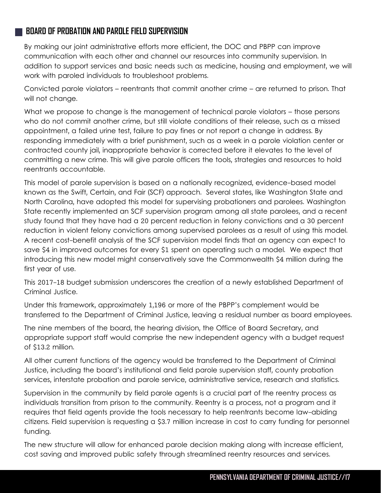#### **BOARD OF PROBATION AND PAROLE FIELD SUPERVISION**

By making our joint administrative efforts more efficient, the DOC and PBPP can improve communication with each other and channel our resources into community supervision. In addition to support services and basic needs such as medicine, housing and employment, we will work with paroled individuals to troubleshoot problems.

Convicted parole violators – reentrants that commit another crime – are returned to prison. That will not change.

What we propose to change is the management of technical parole violators – those persons who do not commit another crime, but still violate conditions of their release, such as a missed appointment, a failed urine test, failure to pay fines or not report a change in address. By responding immediately with a brief punishment, such as a week in a parole violation center or contracted county jail, inappropriate behavior is corrected before it elevates to the level of committing a new crime. This will give parole officers the tools, strategies and resources to hold reentrants accountable.

This model of parole supervision is based on a nationally recognized, evidence-based model known as the Swift, Certain, and Fair (SCF) approach. Several states, like Washington State and North Carolina, have adopted this model for supervising probationers and parolees. Washington State recently implemented an SCF supervision program among all state parolees, and a recent study found that they have had a 20 percent reduction in felony convictions and a 30 percent reduction in violent felony convictions among supervised parolees as a result of using this model. A recent cost-benefit analysis of the SCF supervision model finds that an agency can expect to save \$4 in improved outcomes for every \$1 spent on operating such a model. We expect that introducing this new model might conservatively save the Commonwealth \$4 million during the first year of use.

This 2017-18 budget submission underscores the creation of a newly established Department of Criminal Justice.

Under this framework, approximately 1,196 or more of the PBPP's complement would be transferred to the Department of Criminal Justice, leaving a residual number as board employees.

The nine members of the board, the hearing division, the Office of Board Secretary, and appropriate support staff would comprise the new independent agency with a budget request of \$13.2 million.

All other current functions of the agency would be transferred to the Department of Criminal Justice, including the board's institutional and field parole supervision staff, county probation services, interstate probation and parole service, administrative service, research and statistics.

Supervision in the community by field parole agents is a crucial part of the reentry process as individuals transition from prison to the community. Reentry is a process, not a program and it requires that field agents provide the tools necessary to help reentrants become law-abiding citizens. Field supervision is requesting a \$3.7 million increase in cost to carry funding for personnel funding.

The new structure will allow for enhanced parole decision making along with increase efficient, cost saving and improved public safety through streamlined reentry resources and services.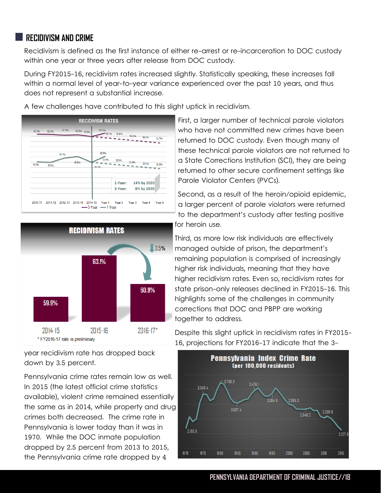#### **RECIDIVISM AND CRIME**

Recidivism is defined as the first instance of either re-arrest or re-incarceration to DOC custody within one year or three years after release from DOC custody.

During FY2015-16, recidivism rates increased slightly. Statistically speaking, these increases fall within a normal level of year-to-year variance experienced over the past 10 years, and thus does not represent a substantial increase.







year recidivism rate has dropped back down by 3.5 percent.

Pennsylvania crime rates remain low as well. In 2015 (the latest official crime statistics available), violent crime remained essentially the same as in 2014, while property and drug crimes both decreased. The crime rate in Pennsylvania is lower today than it was in 1970. While the DOC inmate population dropped by 2.5 percent from 2013 to 2015, the Pennsylvania crime rate dropped by 4

First, a larger number of technical parole violators who have not committed new crimes have been returned to DOC custody. Even though many of these technical parole violators are not returned to a State Corrections Institution (SCI), they are being returned to other secure confinement settings like Parole Violator Centers (PVCs).

Second, as a result of the heroin/opioid epidemic, a larger percent of parole violators were returned to the department's custody after testing positive for heroin use.

Third, as more low risk individuals are effectively managed outside of prison, the department's remaining population is comprised of increasingly higher risk individuals, meaning that they have higher recidivism rates. Even so, recidivism rates for state prison-only releases declined in FY2015-16. This highlights some of the challenges in community corrections that DOC and PBPP are working together to address.

Despite this slight uptick in recidivism rates in FY2015- 16, projections for FY2016-17 indicate that the 3-



#### **PENNSYLVANIA DEPARTMENT OF CRIMINAL JUSTICE//18**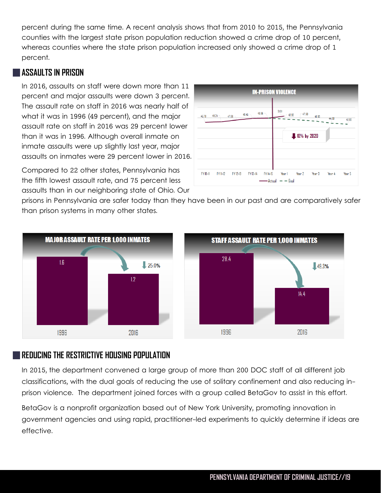percent during the same time. A recent analysis shows that from 2010 to 2015, the Pennsylvania counties with the largest state prison population reduction showed a crime drop of 10 percent, whereas counties where the state prison population increased only showed a crime drop of 1 percent.

#### **ASSAULTS IN PRISON**

In 2016, assaults on staff were down more than 11 percent and major assaults were down 3 percent. The assault rate on staff in 2016 was nearly half of what it was in 1996 (49 percent), and the major assault rate on staff in 2016 was 29 percent lower than it was in 1996. Although overall inmate on inmate assaults were up slightly last year, major assaults on inmates were 29 percent lower in 2016.

Compared to 22 other states, Pennsylvania has the fifth lowest assault rate, and 75 percent less assaults than in our neighboring state of Ohio. Our



prisons in Pennsylvania are safer today than they have been in our past and are comparatively safer than prison systems in many other states.



#### **REDUCING THE RESTRICTIVE HOUSING POPULATION**

In 2015, the department convened a large group of more than 200 DOC staff of all different job classifications, with the dual goals of reducing the use of solitary confinement and also reducing inprison violence. The department joined forces with a group called BetaGov to assist in this effort.

BetaGov is a nonprofit organization based out of New York University, promoting innovation in government agencies and using rapid, practitioner-led experiments to quickly determine if ideas are effective.